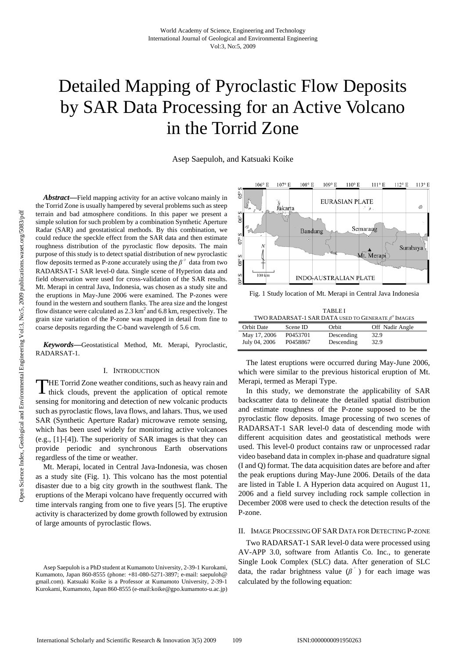# Detailed Mapping of Pyroclastic Flow Deposits by SAR Data Processing for an Active Volcano in the Torrid Zone

Asep Saepuloh, and Katsuaki Koike

*Abstract***—**Field mapping activity for an active volcano mainly in the Torrid Zone is usually hampered by several problems such as steep terrain and bad atmosphere conditions. In this paper we present a simple solution for such problem by a combination Synthetic Aperture Radar (SAR) and geostatistical methods. By this combination, we could reduce the speckle effect from the SAR data and then estimate roughness distribution of the pyroclastic flow deposits. The main purpose of this study is to detect spatial distribution of new pyroclastic flow deposits termed as P-zone accurately using the  $\beta^{\circ}$  data from two RADARSAT-1 SAR level-0 data. Single scene of Hyperion data and field observation were used for cross-validation of the SAR results. Mt. Merapi in central Java, Indonesia, was chosen as a study site and the eruptions in May-June 2006 were examined. The P-zones were found in the western and southern flanks. The area size and the longest flow distance were calculated as  $2.3 \text{ km}^2$  and 6.8 km, respectively. The grain size variation of the P-zone was mapped in detail from fine to coarse deposits regarding the C-band wavelength of 5.6 cm.

*Keywords***—**Geostatistical Method, Mt. Merapi, Pyroclastic, RADARSAT-1.

#### I. INTRODUCTION

THE Torrid Zone weather conditions, such as heavy rain and thick clouds, prevent the application of optical remote thick clouds, prevent the application of optical remote sensing for monitoring and detection of new volcanic products such as pyroclastic flows, lava flows, and lahars. Thus, we used SAR (Synthetic Aperture Radar) microwave remote sensing, which has been used widely for monitoring active volcanoes (e.g., [1]-[4]). The superiority of SAR images is that they can provide periodic and synchronous Earth observations regardless of the time or weather.

Mt. Merapi, located in Central Java-Indonesia, was chosen as a study site (Fig. 1). This volcano has the most potential disaster due to a big city growth in the southwest flank. The eruptions of the Merapi volcano have frequently occurred with time intervals ranging from one to five years [5]. The eruptive activity is characterized by dome growth followed by extrusion of large amounts of pyroclastic flows.



Fig. 1 Study location of Mt. Merapi in Central Java Indonesia

| <b>TABLEI</b>                                               |          |            |                 |
|-------------------------------------------------------------|----------|------------|-----------------|
| TWO RADARSAT-1 SAR DATA USED TO GENERATE $\beta^{0}$ IMAGES |          |            |                 |
| <b>Orbit Date</b>                                           | Scene ID | Orbit      | Off Nadir Angle |
| May 17, 2006                                                | P0453701 | Descending | 32.9            |
| July 04, 2006                                               | P0458867 | Descending | 32.9            |

The latest eruptions were occurred during May-June 2006, which were similar to the previous historical eruption of Mt. Merapi, termed as Merapi Type.

In this study, we demonstrate the applicability of SAR backscatter data to delineate the detailed spatial distribution and estimate roughness of the P-zone supposed to be the pyroclastic flow deposits. Image processing of two scenes of RADARSAT-1 SAR level-0 data of descending mode with different acquisition dates and geostatistical methods were used. This level-0 product contains raw or unprocessed radar video baseband data in complex in-phase and quadrature signal (I and Q) format. The data acquisition dates are before and after the peak eruptions during May-June 2006. Details of the data are listed in Table I. A Hyperion data acquired on August 11, 2006 and a field survey including rock sample collection in December 2008 were used to check the detection results of the P-zone.

## II. IMAGE PROCESSING OF SAR DATA FOR DETECTING P-ZONE

Two RADARSAT-1 SAR level-0 data were processed using AV-APP 3.0, software from Atlantis Co. Inc., to generate Single Look Complex (SLC) data. After generation of SLC data, the radar brightness value  $(\beta^{\circ})$  for each image was calculated by the following equation:

Asep Saepuloh is a PhD student at Kumamoto University, 2-39-1 Kurokami, Kumamoto, Japan 860-8555 (phone: +81-080-5271-3897; e-mail: saepuloh@ gmail.com). Katsuaki Koike is a Professor at Kumamoto University, 2-39-1 Kurokami, Kumamoto, Japan 860-8555 (e-mail:koike@gpo.kumamoto-u.ac.jp)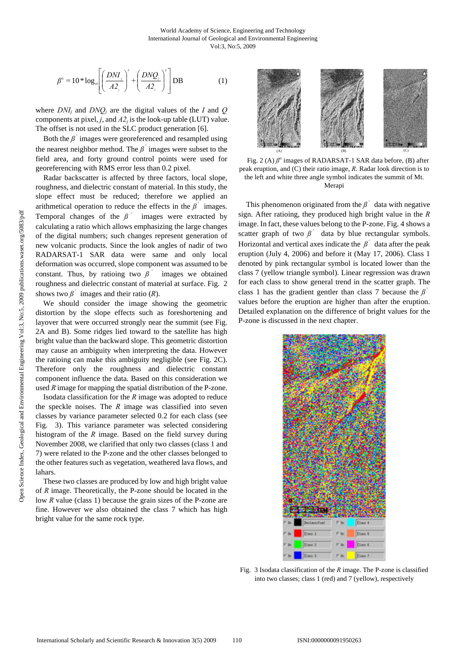$$
\beta^{\circ} = 10 * \log_{10}\left[\left(\frac{DNI}{A2_{j}}\right)^{2} + \left(\frac{DNO_{j}}{A2_{j}}\right)^{2}\right] DB \tag{1}
$$

where  $DNI_i$  and  $DND_j$  are the digital values of the *I* and *Q* components at pixel,  $j$ , and  $A2<sub>i</sub>$  is the look-up table (LUT) value. The offset is not used in the SLC product generation [6].

Both the  $\beta$ <sup> $\dot{\ }$ </sup> images were georeferenced and resampled using the nearest neighbor method. The  $\beta$ <sup> $\hat{ }$ </sup> images were subset to the field area, and forty ground control points were used for georeferencing with RMS error less than 0.2 pixel.

Radar backscatter is affected by three factors, local slope, roughness, and dielectric constant of material. In this study, the slope effect must be reduced; therefore we applied an arithmetical operation to reduce the effects in the  $\beta^{\circ}$  images. Temporal changes of the  $\beta$ <sup> $\degree$ </sup> images were extracted by calculating a ratio which allows emphasizing the large changes of the digital numbers; such changes represent generation of new volcanic products. Since the look angles of nadir of two RADARSAT-1 SAR data were same and only local deformation was occurred, slope component was assumed to be constant. Thus, by ratioing two  $\beta$ <sup> $\degree$ </sup> images we obtained roughness and dielectric constant of material at surface. Fig. 2 shows two  $\beta$ <sup> $\degree$ </sup> images and their ratio (*R*).

We should consider the image showing the geometric distortion by the slope effects such as foreshortening and layover that were occurred strongly near the summit (see Fig. 2A and B). Some ridges lied toward to the satellite has high bright value than the backward slope. This geometric distortion may cause an ambiguity when interpreting the data. However the ratioing can make this ambiguity negligible (see Fig. 2C). Therefore only the roughness and dielectric constant component influence the data. Based on this consideration we used *R* image for mapping the spatial distribution of the P-zone.

Isodata classification for the *R* image was adopted to reduce the speckle noises. The *R* image was classified into seven classes by variance parameter selected 0.2 for each class (see Fig. 3). This variance parameter was selected considering histogram of the *R* image. Based on the field survey during November 2008, we clarified that only two classes (class 1 and 7) were related to the P-zone and the other classes belonged to the other features such as vegetation, weathered lava flows, and lahars.

These two classes are produced by low and high bright value of *R* image. Theoretically, the P-zone should be located in the low *R* value (class 1) because the grain sizes of the P-zone are fine. However we also obtained the class 7 which has high bright value for the same rock type.



Fig. 2 (A)  $\beta^o$  images of RADARSAT-1 SAR data before, (B) after peak eruption, and (C) their ratio image, *R*. Radar look direction is to the left and white three angle symbol indicates the summit of Mt. Merapi

This phenomenon originated from the  $\beta^{\circ}$  data with negative sign. After ratioing, they produced high bright value in the *R* image. In fact, these values belong to the P-zone. Fig. 4 shows a scatter graph of two  $\beta$ <sup>°</sup> data by blue rectangular symbols. Horizontal and vertical axes indicate the  $\beta^{\circ}$  data after the peak eruption (July 4, 2006) and before it (May 17, 2006). Class 1 denoted by pink rectangular symbol is located lower than the class 7 (yellow triangle symbol). Linear regression was drawn for each class to show general trend in the scatter graph. The class 1 has the gradient gentler than class 7 because the *ß*° values before the eruption are higher than after the eruption. Detailed explanation on the difference of bright values for the P-zone is discussed in the next chapter.



Fig. 3 Isodata classification of the *R* image. The P-zone is classified into two classes; class 1 (red) and 7 (yellow), respectively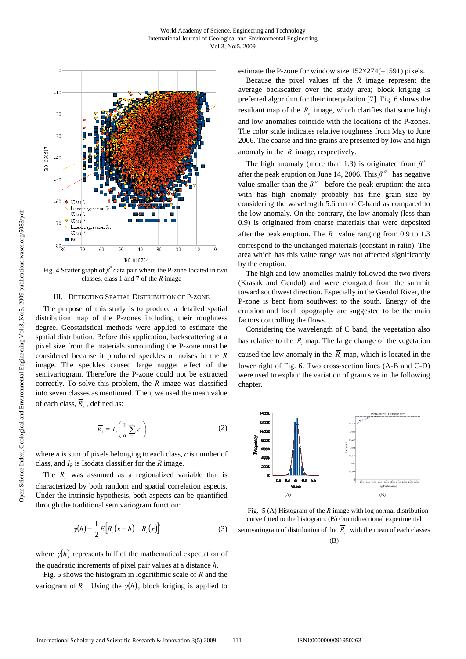

Fig. 4 Scatter graph of  $\beta^{\degree}$  data pair where the P-zone located in two classes, class 1 and 7 of the *R* image

#### III. DETECTING SPATIAL DISTRIBUTION OF P-ZONE

The purpose of this study is to produce a detailed spatial distribution map of the P-zones including their roughness degree. Geostatistical methods were applied to estimate the spatial distribution. Before this application, backscattering at a pixel size from the materials surrounding the P-zone must be considered because it produced speckles or noises in the *R* image. The speckles caused large nugget effect of the semivariogram. Therefore the P-zone could not be extracted correctly. To solve this problem, the *R* image was classified into seven classes as mentioned. Then, we used the mean value of each class,  $\overline{R}$ , defined as:

$$
\overline{R}_c = I_{\scriptscriptstyle R} \left( \frac{1}{n} \sum_{i=1}^n c_i \right) \tag{2}
$$

where *n* is sum of pixels belonging to each class, *c* is number of class, and  $I_R$  is Isodata classifier for the  $R$  image.

The  $\overline{R}_c$  was assumed as a regionalized variable that is characterized by both random and spatial correlation aspects. Under the intrinsic hypothesis, both aspects can be quantified through the traditional semivariogram function:

$$
\gamma(h) = \frac{1}{2} E \Big[ \overline{R}_c \big( x + h \big) - \overline{R}_c \big( x \big) \Big]^2 \tag{3}
$$

where  $\gamma(h)$  represents half of the mathematical expectation of the quadratic increments of pixel pair values at a distance *h*.

Fig. 5 shows the histogram in logarithmic scale of *R* and the variogram of  $\overline{R}$ . Using the *γ*(*h*), block kriging is applied to estimate the P-zone for window size 152×274(=1591) pixels.

Because the pixel values of the *R* image represent the average backscatter over the study area; block kriging is preferred algorithm for their interpolation [7]. Fig. 6 shows the resultant map of the  $\overline{R}_i$  image, which clarifies that some high and low anomalies coincide with the locations of the P-zones. The color scale indicates relative roughness from May to June 2006. The coarse and fine grains are presented by low and high anomaly in the  $\overline{R}_i$  image, respectively.

The high anomaly (more than 1.3) is originated from  $\beta$ <sup> $\circ$ </sup> after the peak eruption on June 14, 2006. This *ß*° has negative value smaller than the  $\beta$ <sup>°</sup> before the peak eruption: the area with has high anomaly probably has fine grain size by considering the wavelength 5.6 cm of C-band as compared to the low anomaly. On the contrary, the low anomaly (less than 0.9) is originated from coarse materials that were deposited after the peak eruption. The  $\overline{R}$  value ranging from 0.9 to 1.3 correspond to the unchanged materials (constant in ratio). The area which has this value range was not affected significantly by the eruption.

The high and low anomalies mainly followed the two rivers (Krasak and Gendol) and were elongated from the summit toward southwest direction. Especially in the Gendol River, the P-zone is bent from southwest to the south. Energy of the eruption and local topography are suggested to be the main factors controlling the flows.

Considering the wavelength of C band, the vegetation also has relative to the  $\overline{R}$  map. The large change of the vegetation caused the low anomaly in the  $\overline{R}$  map, which is located in the lower right of Fig. 6. Two cross-section lines (A-B and C-D) were used to explain the variation of grain size in the following chapter.



Fig. 5 (A) Histogram of the *R* image with log normal distribution curve fitted to the histogram. (B) Omnidirectional experimental semivariogram of distribution of the  $\overline{R}$  with the mean of each classes

(B)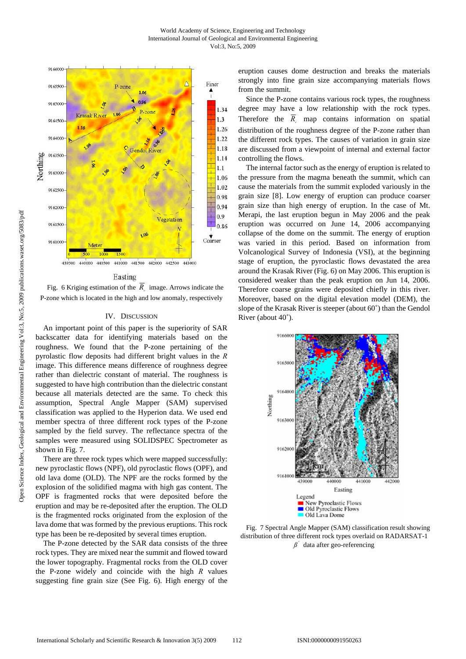

#### Easting

Fig. 6 Kriging estimation of the  $\overline{R}$  image. Arrows indicate the P-zone which is located in the high and low anomaly, respectively

## IV. DISCUSSION

An important point of this paper is the superiority of SAR backscatter data for identifying materials based on the roughness. We found that the P-zone pertaining of the pyrolastic flow deposits had different bright values in the *R* image. This difference means difference of roughness degree rather than dielectric constant of material. The roughness is suggested to have high contribution than the dielectric constant because all materials detected are the same. To check this assumption, Spectral Angle Mapper (SAM) supervised classification was applied to the Hyperion data. We used end member spectra of three different rock types of the P-zone sampled by the field survey. The reflectance spectra of the samples were measured using SOLIDSPEC Spectrometer as shown in Fig. 7.

There are three rock types which were mapped successfully: new pyroclastic flows (NPF), old pyroclastic flows (OPF), and old lava dome (OLD). The NPF are the rocks formed by the explosion of the solidified magma with high gas content. The OPF is fragmented rocks that were deposited before the eruption and may be re-deposited after the eruption. The OLD is the fragmented rocks originated from the explosion of the lava dome that was formed by the previous eruptions. This rock type has been be re-deposited by several times eruption.

The P-zone detected by the SAR data consists of the three rock types. They are mixed near the summit and flowed toward the lower topography. Fragmental rocks from the OLD cover the P-zone widely and coincide with the high *R* values suggesting fine grain size (See Fig. 6). High energy of the eruption causes dome destruction and breaks the materials strongly into fine grain size accompanying materials flows from the summit.

Since the P-zone contains various rock types, the roughness degree may have a low relationship with the rock types. Therefore the  $\overline{R}$  map contains information on spatial distribution of the roughness degree of the P-zone rather than the different rock types. The causes of variation in grain size are discussed from a viewpoint of internal and external factor controlling the flows.

The internal factor such as the energy of eruption is related to the pressure from the magma beneath the summit, which can cause the materials from the summit exploded variously in the grain size [8]. Low energy of eruption can produce coarser grain size than high energy of eruption. In the case of Mt. Merapi, the last eruption begun in May 2006 and the peak eruption was occurred on June 14, 2006 accompanying collapse of the dome on the summit. The energy of eruption was varied in this period. Based on information from Volcanological Survey of Indonesia (VSI), at the beginning stage of eruption, the pyroclastic flows devastated the area around the Krasak River (Fig. 6) on May 2006. This eruption is considered weaker than the peak eruption on Jun 14, 2006. Therefore coarse grains were deposited chiefly in this river. Moreover, based on the digital elevation model (DEM), the slope of the Krasak River is steeper (about 60˚) than the Gendol River (about 40˚).



Fig. 7 Spectral Angle Mapper (SAM) classification result showing distribution of three different rock types overlaid on RADARSAT-1 *ß*° data after geo-referencing